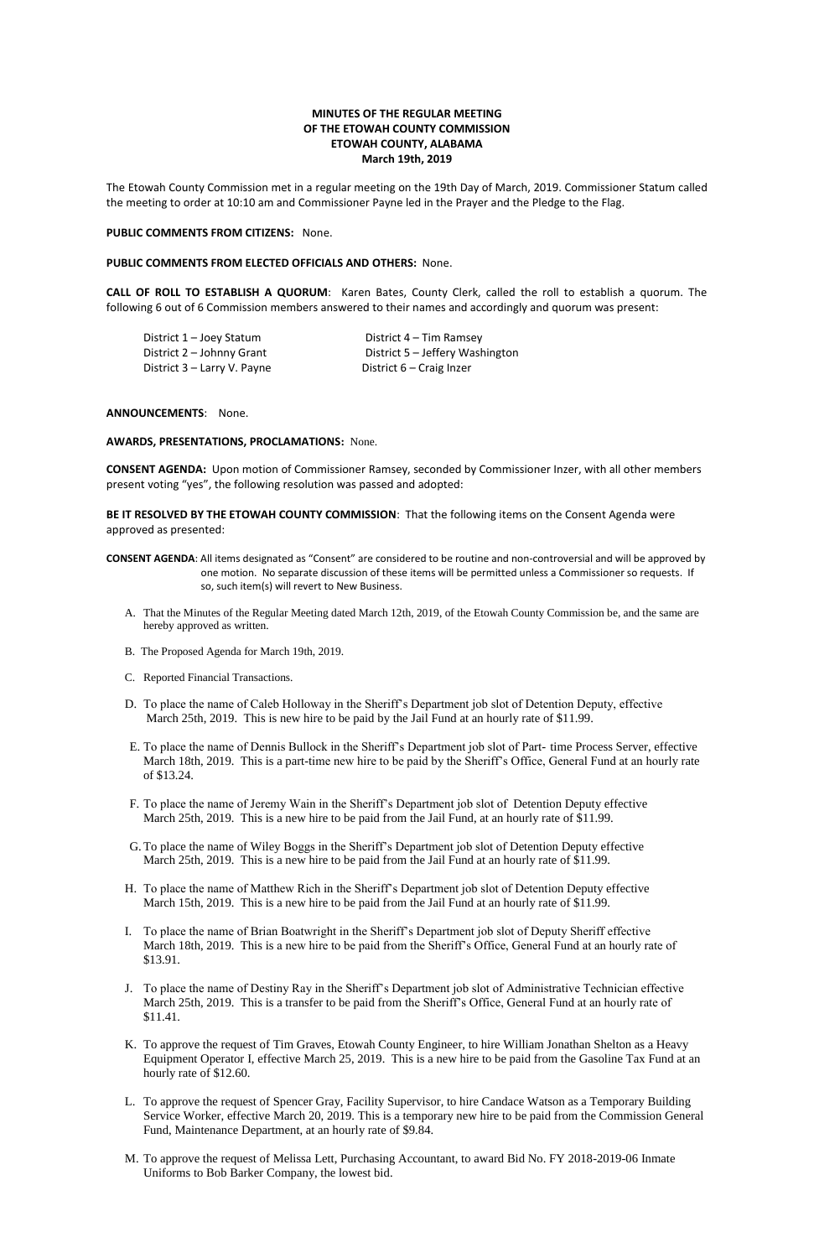# **MINUTES OF THE REGULAR MEETING OF THE ETOWAH COUNTY COMMISSION ETOWAH COUNTY, ALABAMA March 19th, 2019**

The Etowah County Commission met in a regular meeting on the 19th Day of March, 2019. Commissioner Statum called the meeting to order at 10:10 am and Commissioner Payne led in the Prayer and the Pledge to the Flag.

## **PUBLIC COMMENTS FROM CITIZENS:** None.

## **PUBLIC COMMENTS FROM ELECTED OFFICIALS AND OTHERS:** None.

**CALL OF ROLL TO ESTABLISH A QUORUM**: Karen Bates, County Clerk, called the roll to establish a quorum. The following 6 out of 6 Commission members answered to their names and accordingly and quorum was present:

District 1 – Joey Statum District 4 – Tim Ramsey District 3 – Larry V. Payne District 6 – Craig Inzer

District 2 – Johnny Grant District 5 – Jeffery Washington

## **ANNOUNCEMENTS**: None.

## **AWARDS, PRESENTATIONS, PROCLAMATIONS:** None.

**CONSENT AGENDA:** Upon motion of Commissioner Ramsey, seconded by Commissioner Inzer, with all other members present voting "yes", the following resolution was passed and adopted:

**BE IT RESOLVED BY THE ETOWAH COUNTY COMMISSION**: That the following items on the Consent Agenda were approved as presented:

- **CONSENT AGENDA**: All items designated as "Consent" are considered to be routine and non-controversial and will be approved by one motion. No separate discussion of these items will be permitted unless a Commissioner so requests. If so, such item(s) will revert to New Business.
	- A. That the Minutes of the Regular Meeting dated March 12th, 2019, of the Etowah County Commission be, and the same are hereby approved as written.
	- B. The Proposed Agenda for March 19th, 2019.
	- C. Reported Financial Transactions.
	- D. To place the name of Caleb Holloway in the Sheriff's Department job slot of Detention Deputy, effective March 25th, 2019. This is new hire to be paid by the Jail Fund at an hourly rate of \$11.99.
	- E. To place the name of Dennis Bullock in the Sheriff's Department job slot of Part- time Process Server, effective March 18th, 2019. This is a part-time new hire to be paid by the Sheriff's Office, General Fund at an hourly rate of \$13.24.
	- F. To place the name of Jeremy Wain in the Sheriff's Department job slot of Detention Deputy effective March 25th, 2019. This is a new hire to be paid from the Jail Fund, at an hourly rate of \$11.99.
	- G.To place the name of Wiley Boggs in the Sheriff's Department job slot of Detention Deputy effective March 25th, 2019. This is a new hire to be paid from the Jail Fund at an hourly rate of \$11.99.
	- H. To place the name of Matthew Rich in the Sheriff's Department job slot of Detention Deputy effective March 15th, 2019. This is a new hire to be paid from the Jail Fund at an hourly rate of \$11.99.
	- I. To place the name of Brian Boatwright in the Sheriff's Department job slot of Deputy Sheriff effective March 18th, 2019. This is a new hire to be paid from the Sheriff's Office, General Fund at an hourly rate of \$13.91.
	- J. To place the name of Destiny Ray in the Sheriff's Department job slot of Administrative Technician effective March 25th, 2019. This is a transfer to be paid from the Sheriff's Office, General Fund at an hourly rate of \$11.41.
	- K. To approve the request of Tim Graves, Etowah County Engineer, to hire William Jonathan Shelton as a Heavy Equipment Operator I, effective March 25, 2019. This is a new hire to be paid from the Gasoline Tax Fund at an hourly rate of \$12.60.
	- L. To approve the request of Spencer Gray, Facility Supervisor, to hire Candace Watson as a Temporary Building Service Worker, effective March 20, 2019. This is a temporary new hire to be paid from the Commission General Fund, Maintenance Department, at an hourly rate of \$9.84.
	- M. To approve the request of Melissa Lett, Purchasing Accountant, to award Bid No. FY 2018-2019-06 Inmate Uniforms to Bob Barker Company, the lowest bid.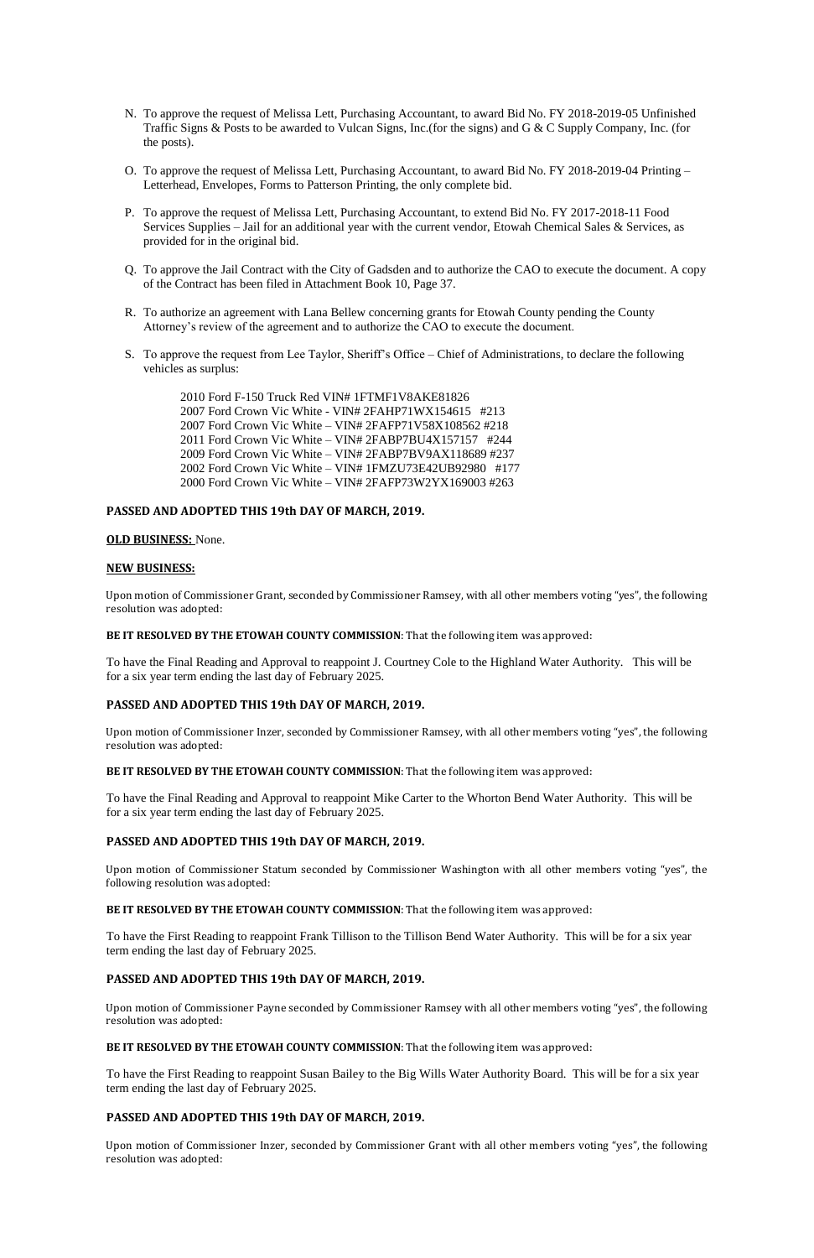- N. To approve the request of Melissa Lett, Purchasing Accountant, to award Bid No. FY 2018-2019-05 Unfinished Traffic Signs & Posts to be awarded to Vulcan Signs, Inc.(for the signs) and G & C Supply Company, Inc. (for the posts).
- O. To approve the request of Melissa Lett, Purchasing Accountant, to award Bid No. FY 2018-2019-04 Printing Letterhead, Envelopes, Forms to Patterson Printing, the only complete bid.
- P. To approve the request of Melissa Lett, Purchasing Accountant, to extend Bid No. FY 2017-2018-11 Food Services Supplies – Jail for an additional year with the current vendor, Etowah Chemical Sales & Services, as provided for in the original bid.
- Q. To approve the Jail Contract with the City of Gadsden and to authorize the CAO to execute the document. A copy of the Contract has been filed in Attachment Book 10, Page 37.
- R. To authorize an agreement with Lana Bellew concerning grants for Etowah County pending the County Attorney's review of the agreement and to authorize the CAO to execute the document.
- S. To approve the request from Lee Taylor, Sheriff's Office Chief of Administrations, to declare the following vehicles as surplus:

2010 Ford F-150 Truck Red VIN# 1FTMF1V8AKE81826 2007 Ford Crown Vic White - VIN# 2FAHP71WX154615 #213 2007 Ford Crown Vic White – VIN# 2FAFP71V58X108562 #218 2011 Ford Crown Vic White – VIN# 2FABP7BU4X157157 #244 2009 Ford Crown Vic White – VIN# 2FABP7BV9AX118689 #237 2002 Ford Crown Vic White – VIN# 1FMZU73E42UB92980 #177 2000 Ford Crown Vic White – VIN# 2FAFP73W2YX169003 #263

## **PASSED AND ADOPTED THIS 19th DAY OF MARCH, 2019.**

#### **OLD BUSINESS:** None.

### **NEW BUSINESS:**

Upon motion of Commissioner Grant, seconded by Commissioner Ramsey, with all other members voting "yes", the following resolution was adopted:

### **BE IT RESOLVED BY THE ETOWAH COUNTY COMMISSION**: That the following item was approved:

To have the Final Reading and Approval to reappoint J. Courtney Cole to the Highland Water Authority. This will be for a six year term ending the last day of February 2025.

### **PASSED AND ADOPTED THIS 19th DAY OF MARCH, 2019.**

Upon motion of Commissioner Inzer, seconded by Commissioner Ramsey, with all other members voting "yes", the following resolution was adopted:

#### **BE IT RESOLVED BY THE ETOWAH COUNTY COMMISSION**: That the following item was approved:

To have the Final Reading and Approval to reappoint Mike Carter to the Whorton Bend Water Authority. This will be for a six year term ending the last day of February 2025.

### **PASSED AND ADOPTED THIS 19th DAY OF MARCH, 2019.**

Upon motion of Commissioner Statum seconded by Commissioner Washington with all other members voting "yes", the following resolution was adopted:

#### **BE IT RESOLVED BY THE ETOWAH COUNTY COMMISSION**: That the following item was approved:

To have the First Reading to reappoint Frank Tillison to the Tillison Bend Water Authority. This will be for a six year term ending the last day of February 2025.

# **PASSED AND ADOPTED THIS 19th DAY OF MARCH, 2019.**

Upon motion of Commissioner Payne seconded by Commissioner Ramsey with all other members voting "yes", the following resolution was adopted:

### **BE IT RESOLVED BY THE ETOWAH COUNTY COMMISSION**: That the following item was approved:

To have the First Reading to reappoint Susan Bailey to the Big Wills Water Authority Board. This will be for a six year term ending the last day of February 2025.

## **PASSED AND ADOPTED THIS 19th DAY OF MARCH, 2019.**

Upon motion of Commissioner Inzer, seconded by Commissioner Grant with all other members voting "yes", the following resolution was adopted: